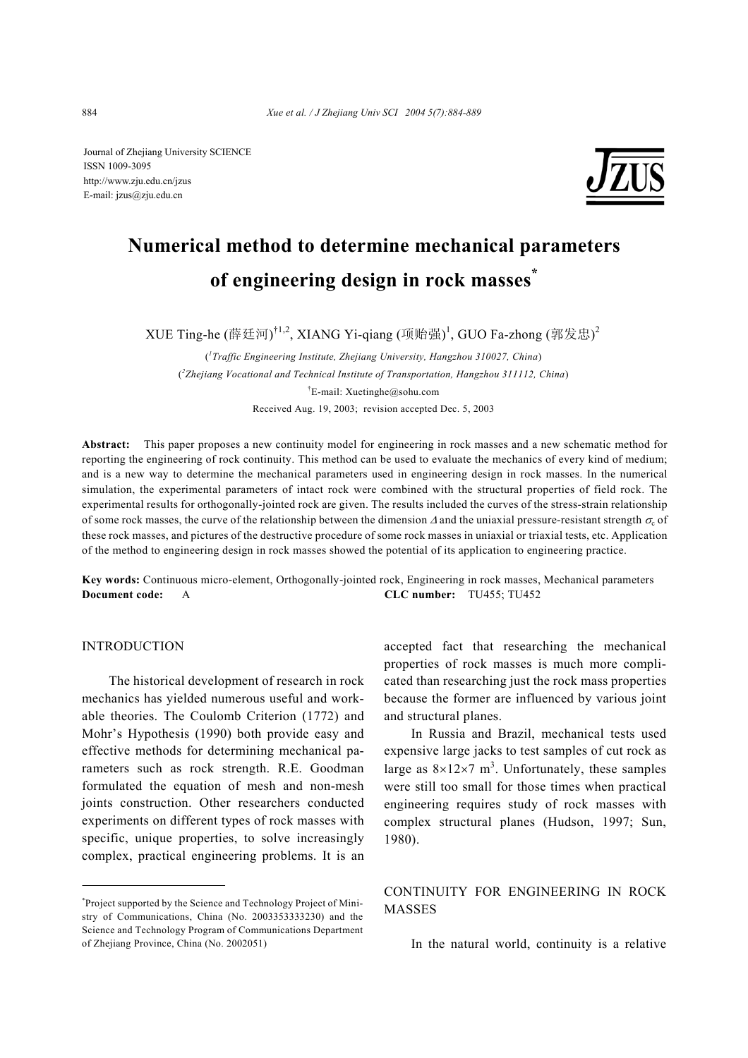Journal of Zhejiang University SCIENCE ISSN 1009-3095 http://www.zju.edu.cn/jzus E-mail: jzus@zju.edu.cn



# **Numerical method to determine mechanical parameters of engineering design in rock masses\***

XUE Ting-he (薛廷河) $^{\dagger1,2}$ , XIANG Yi-qiang (项贻强) $^{\dagger}$ , GUO Fa-zhong (郭发忠) $^{\dagger}$ 

( *1 Traffic Engineering Institute, Zhejiang University, Hangzhou 310027, China*) ( *2 Zhejiang Vocational and Technical Institute of Transportation, Hangzhou 311112, China*) † E-mail: Xuetinghe@sohu.com Received Aug. 19, 2003; revision accepted Dec. 5, 2003

**Abstract:** This paper proposes a new continuity model for engineering in rock masses and a new schematic method for reporting the engineering of rock continuity. This method can be used to evaluate the mechanics of every kind of medium; and is a new way to determine the mechanical parameters used in engineering design in rock masses. In the numerical simulation, the experimental parameters of intact rock were combined with the structural properties of field rock. The experimental results for orthogonally-jointed rock are given. The results included the curves of the stress-strain relationship of some rock masses, the curve of the relationship between the dimension  $\Delta$  and the uniaxial pressure-resistant strength  $\sigma_c$  of these rock masses, and pictures of the destructive procedure of some rock masses in uniaxial or triaxial tests, etc. Application of the method to engineering design in rock masses showed the potential of its application to engineering practice.

**Key words:** Continuous micro-element, Orthogonally-jointed rock, Engineering in rock masses, Mechanical parameters **Document code:** A **CLC number:** TU455; TU452

## INTRODUCTION

The historical development of research in rock mechanics has yielded numerous useful and workable theories. The Coulomb Criterion (1772) and Mohr's Hypothesis (1990) both provide easy and effective methods for determining mechanical parameters such as rock strength. R.E. Goodman formulated the equation of mesh and non-mesh joints construction. Other researchers conducted experiments on different types of rock masses with specific, unique properties, to solve increasingly complex, practical engineering problems. It is an accepted fact that researching the mechanical properties of rock masses is much more complicated than researching just the rock mass properties because the former are influenced by various joint and structural planes.

In Russia and Brazil, mechanical tests used expensive large jacks to test samples of cut rock as large as  $8\times12\times7$  m<sup>3</sup>. Unfortunately, these samples were still too small for those times when practical engineering requires study of rock masses with complex structural planes (Hudson, 1997; Sun, 1980).

# CONTINUITY FOR ENGINEERING IN ROCK MASSES

In the natural world, continuity is a relative

<sup>\*</sup> Project supported by the Science and Technology Project of Ministry of Communications, China (No. 2003353333230) and the Science and Technology Program of Communications Department of Zhejiang Province, China (No. 2002051)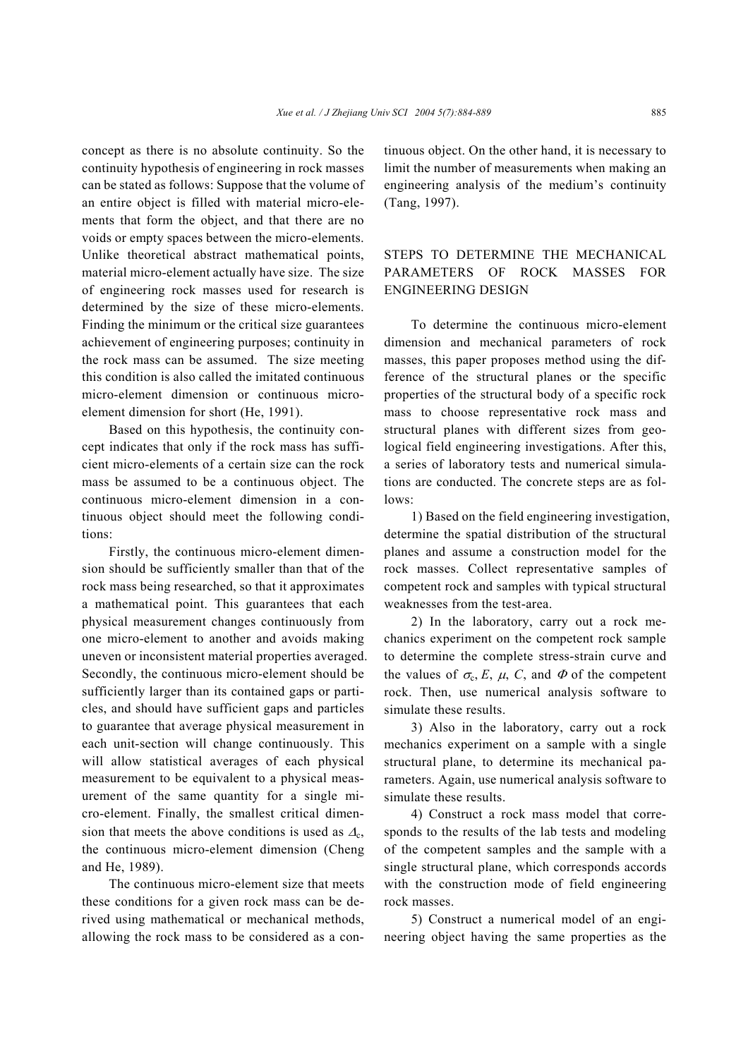concept as there is no absolute continuity. So the continuity hypothesis of engineering in rock masses can be stated as follows: Suppose that the volume of an entire object is filled with material micro-elements that form the object, and that there are no voids or empty spaces between the micro-elements. Unlike theoretical abstract mathematical points, material micro-element actually have size. The size of engineering rock masses used for research is determined by the size of these micro-elements. Finding the minimum or the critical size guarantees achievement of engineering purposes; continuity in the rock mass can be assumed. The size meeting this condition is also called the imitated continuous micro-element dimension or continuous microelement dimension for short (He, 1991).

Based on this hypothesis, the continuity concept indicates that only if the rock mass has sufficient micro-elements of a certain size can the rock mass be assumed to be a continuous object. The continuous micro-element dimension in a continuous object should meet the following conditions:

Firstly, the continuous micro-element dimension should be sufficiently smaller than that of the rock mass being researched, so that it approximates a mathematical point. This guarantees that each physical measurement changes continuously from one micro-element to another and avoids making uneven or inconsistent material properties averaged. Secondly, the continuous micro-element should be sufficiently larger than its contained gaps or particles, and should have sufficient gaps and particles to guarantee that average physical measurement in each unit-section will change continuously. This will allow statistical averages of each physical measurement to be equivalent to a physical measurement of the same quantity for a single micro-element. Finally, the smallest critical dimension that meets the above conditions is used as  $\Delta_c$ , the continuous micro-element dimension (Cheng and He, 1989).

The continuous micro-element size that meets these conditions for a given rock mass can be derived using mathematical or mechanical methods, allowing the rock mass to be considered as a continuous object. On the other hand, it is necessary to limit the number of measurements when making an engineering analysis of the medium's continuity (Tang, 1997).

## STEPS TO DETERMINE THE MECHANICAL PARAMETERS OF ROCK MASSES FOR ENGINEERING DESIGN

To determine the continuous micro-element dimension and mechanical parameters of rock masses, this paper proposes method using the difference of the structural planes or the specific properties of the structural body of a specific rock mass to choose representative rock mass and structural planes with different sizes from geological field engineering investigations. After this, a series of laboratory tests and numerical simulations are conducted. The concrete steps are as follows:

1) Based on the field engineering investigation, determine the spatial distribution of the structural planes and assume a construction model for the rock masses. Collect representative samples of competent rock and samples with typical structural weaknesses from the test-area.

2) In the laboratory, carry out a rock mechanics experiment on the competent rock sample to determine the complete stress-strain curve and the values of  $\sigma_c$ , *E*, *µ*, *C*, and  $\Phi$  of the competent rock. Then, use numerical analysis software to simulate these results.

3) Also in the laboratory, carry out a rock mechanics experiment on a sample with a single structural plane, to determine its mechanical parameters. Again, use numerical analysis software to simulate these results.

4) Construct a rock mass model that corresponds to the results of the lab tests and modeling of the competent samples and the sample with a single structural plane, which corresponds accords with the construction mode of field engineering rock masses.

5) Construct a numerical model of an engineering object having the same properties as the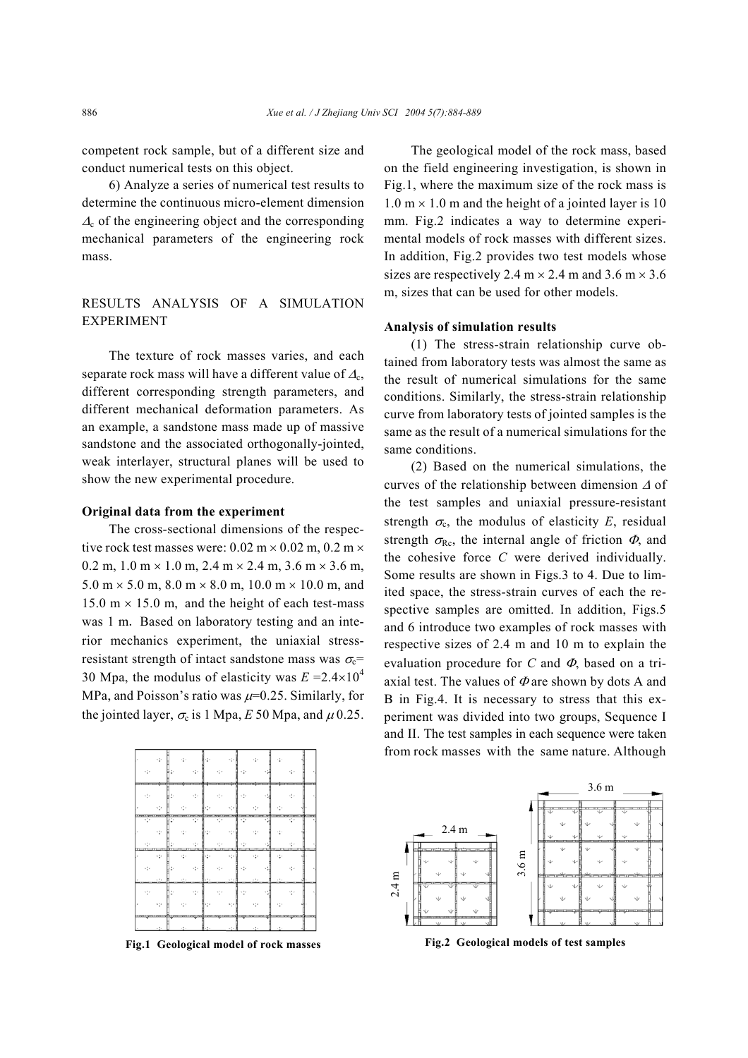competent rock sample, but of a different size and conduct numerical tests on this object.

6) Analyze a series of numerical test results to determine the continuous micro-element dimension  $\Delta_c$  of the engineering object and the corresponding mechanical parameters of the engineering rock mass.

## RESULTS ANALYSIS OF A SIMULATION EXPERIMENT

The texture of rock masses varies, and each separate rock mass will have a different value of  $\Delta_c$ , different corresponding strength parameters, and different mechanical deformation parameters. As an example, a sandstone mass made up of massive sandstone and the associated orthogonally-jointed, weak interlayer, structural planes will be used to show the new experimental procedure.

#### **Original data from the experiment**

The cross-sectional dimensions of the respective rock test masses were:  $0.02 \text{ m} \times 0.02 \text{ m}$ ,  $0.2 \text{ m} \times$ 0.2 m,  $1.0 \text{ m} \times 1.0 \text{ m}$ ,  $2.4 \text{ m} \times 2.4 \text{ m}$ ,  $3.6 \text{ m} \times 3.6 \text{ m}$ ,  $5.0 \text{ m} \times 5.0 \text{ m}$ ,  $8.0 \text{ m} \times 8.0 \text{ m}$ ,  $10.0 \text{ m} \times 10.0 \text{ m}$ , and 15.0 m  $\times$  15.0 m, and the height of each test-mass was 1 m. Based on laboratory testing and an interior mechanics experiment, the uniaxial stressresistant strength of intact sandstone mass was  $\sigma_c$ = 30 Mpa, the modulus of elasticity was  $E = 2.4 \times 10^4$ MPa, and Poisson's ratio was  $\mu$ =0.25. Similarly, for the jointed layer,  $\sigma_c$  is 1 Mpa, *E* 50 Mpa, and  $\mu$  0.25.



**Fig.1 Geological model of rock masses**

The geological model of the rock mass, based on the field engineering investigation, is shown in Fig.1, where the maximum size of the rock mass is  $1.0 \text{ m} \times 1.0 \text{ m}$  and the height of a jointed layer is 10 mm. Fig.2 indicates a way to determine experimental models of rock masses with different sizes. In addition, Fig.2 provides two test models whose sizes are respectively 2.4 m  $\times$  2.4 m and 3.6 m  $\times$  3.6 m, sizes that can be used for other models.

#### **Analysis of simulation results**

(1) The stress-strain relationship curve obtained from laboratory tests was almost the same as the result of numerical simulations for the same conditions. Similarly, the stress-strain relationship curve from laboratory tests of jointed samples is the same as the result of a numerical simulations for the same conditions.

(2) Based on the numerical simulations, the curves of the relationship between dimension ∆ of the test samples and uniaxial pressure-resistant strength  $\sigma_c$ , the modulus of elasticity *E*, residual strength  $\sigma_{\text{Rc}}$ , the internal angle of friction  $\Phi$ , and the cohesive force *C* were derived individually. Some results are shown in Figs.3 to 4. Due to limited space, the stress-strain curves of each the respective samples are omitted. In addition, Figs.5 and 6 introduce two examples of rock masses with respective sizes of 2.4 m and 10 m to explain the evaluation procedure for *C* and Φ, based on a triaxial test. The values of  $\Phi$  are shown by dots A and B in Fig.4. It is necessary to stress that this experiment was divided into two groups, Sequence I and II. The test samples in each sequence were taken from rock masses with the same nature. Although



**Fig.2 Geological models of test samples**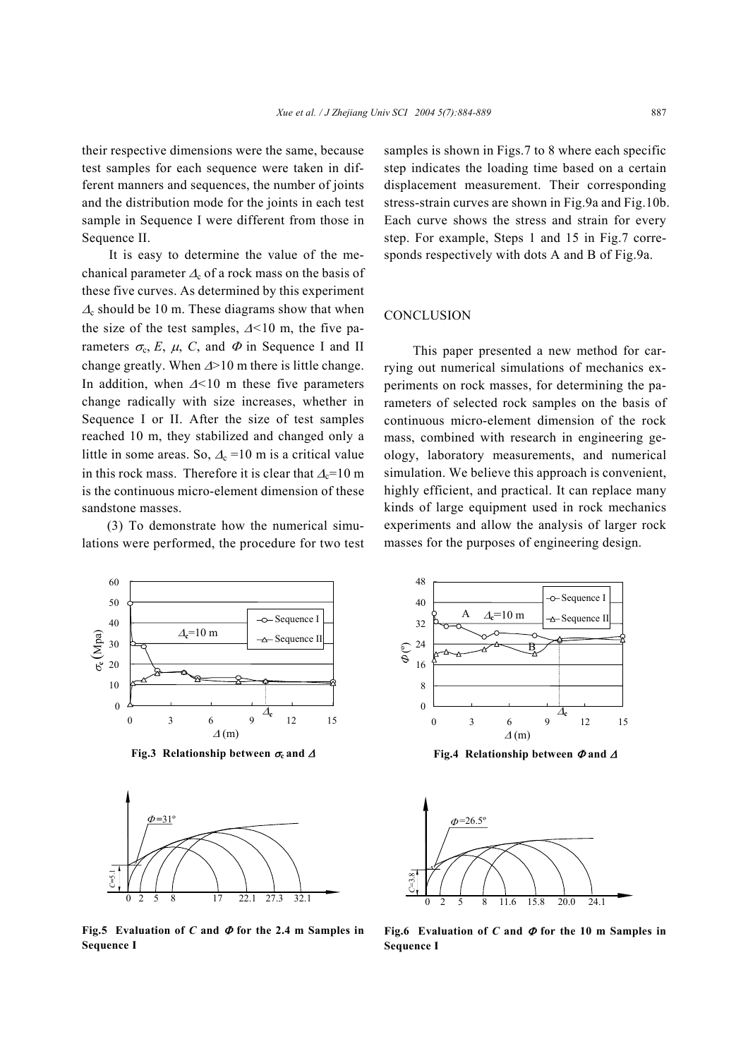their respective dimensions were the same, because test samples for each sequence were taken in different manners and sequences, the number of joints and the distribution mode for the joints in each test sample in Sequence I were different from those in Sequence II.

It is easy to determine the value of the mechanical parameter  $\Delta_c$  of a rock mass on the basis of these five curves. As determined by this experiment  $\Delta_c$  should be 10 m. These diagrams show that when the size of the test samples, ∆*<*10 m, the five parameters  $\sigma_c$ , *E*,  $\mu$ , *C*, and  $\Phi$  in Sequence I and II change greatly. When ∆>10 m there is little change. In addition, when ∆*<*10 m these five parameters change radically with size increases, whether in Sequence I or II. After the size of test samples reached 10 m, they stabilized and changed only a little in some areas. So,  $\Delta_c = 10$  m is a critical value in this rock mass. Therefore it is clear that  $\Delta_c=10$  m is the continuous micro-element dimension of these sandstone masses.

(3) To demonstrate how the numerical simulations were performed, the procedure for two test samples is shown in Figs.7 to 8 where each specific step indicates the loading time based on a certain displacement measurement. Their corresponding stress-strain curves are shown in Fig.9a and Fig.10b. Each curve shows the stress and strain for every step. For example, Steps 1 and 15 in Fig.7 corresponds respectively with dots A and B of Fig.9a.

### **CONCLUSION**

This paper presented a new method for carrying out numerical simulations of mechanics experiments on rock masses, for determining the parameters of selected rock samples on the basis of continuous micro-element dimension of the rock mass, combined with research in engineering geology, laboratory measurements, and numerical simulation. We believe this approach is convenient, highly efficient, and practical. It can replace many kinds of large equipment used in rock mechanics experiments and allow the analysis of larger rock masses for the purposes of engineering design.



**Fig.3 Relationship between** σ**c and** <sup>∆</sup>



**Fig.5** Evaluation of *C* and  $\Phi$  for the 2.4 m Samples in **Sequence I** 



**Fig.4 Relationship between** Φ **and** <sup>∆</sup>



**Fig.6 Evaluation of** *C* **and** Φ **for the 10 m Samples in Sequence I**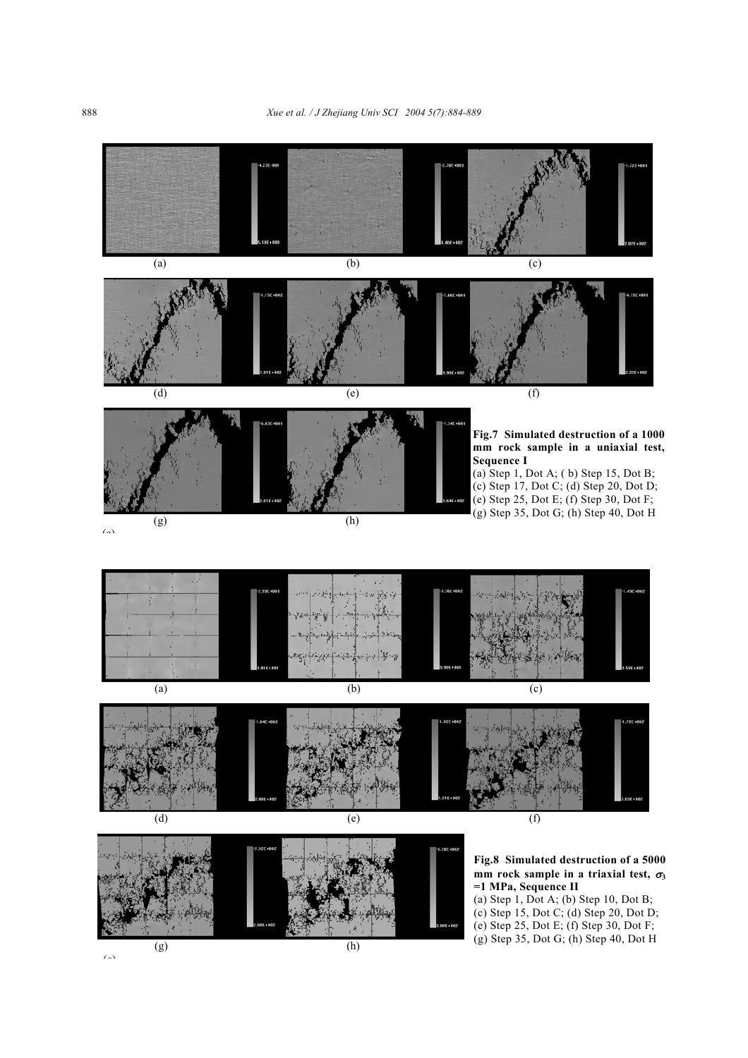

(g)  $(h)$  $\ell_{\alpha}$ 

(g) Step 35, Dot G; (h) Step 40, Dot H